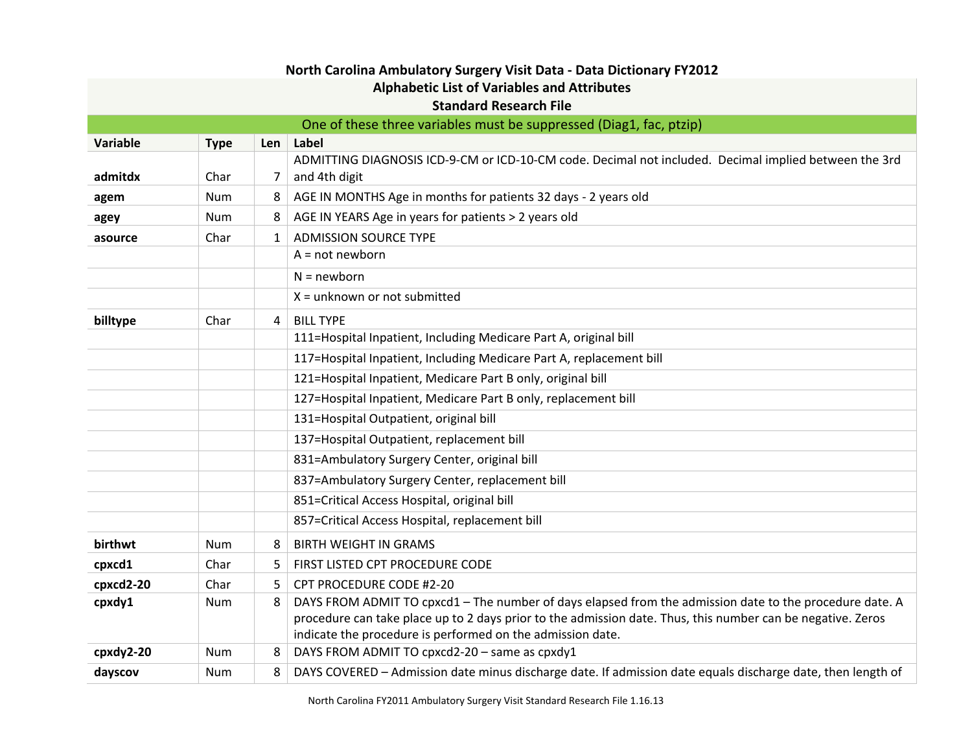| North Carolina Ambulatory Surgery Visit Data - Data Dictionary FY2012 |                                                                     |              |                                                                                                                        |  |  |
|-----------------------------------------------------------------------|---------------------------------------------------------------------|--------------|------------------------------------------------------------------------------------------------------------------------|--|--|
| <b>Alphabetic List of Variables and Attributes</b>                    |                                                                     |              |                                                                                                                        |  |  |
|                                                                       |                                                                     |              | <b>Standard Research File</b>                                                                                          |  |  |
|                                                                       | One of these three variables must be suppressed (Diag1, fac, ptzip) |              |                                                                                                                        |  |  |
| Variable                                                              | <b>Type</b>                                                         | Len          | Label                                                                                                                  |  |  |
| admitdx                                                               | Char                                                                | 7            | ADMITTING DIAGNOSIS ICD-9-CM or ICD-10-CM code. Decimal not included. Decimal implied between the 3rd<br>and 4th digit |  |  |
|                                                                       |                                                                     |              |                                                                                                                        |  |  |
| agem                                                                  | <b>Num</b>                                                          | 8            | AGE IN MONTHS Age in months for patients 32 days - 2 years old                                                         |  |  |
| agey                                                                  | <b>Num</b>                                                          | 8            | AGE IN YEARS Age in years for patients > 2 years old                                                                   |  |  |
| asource                                                               | Char                                                                | $\mathbf{1}$ | <b>ADMISSION SOURCE TYPE</b><br>$A = not newborn$                                                                      |  |  |
|                                                                       |                                                                     |              |                                                                                                                        |  |  |
|                                                                       |                                                                     |              | $N = newborn$                                                                                                          |  |  |
|                                                                       |                                                                     |              | $X =$ unknown or not submitted                                                                                         |  |  |
| billtype                                                              | Char                                                                | 4            | <b>BILL TYPE</b>                                                                                                       |  |  |
|                                                                       |                                                                     |              | 111=Hospital Inpatient, Including Medicare Part A, original bill                                                       |  |  |
|                                                                       |                                                                     |              | 117=Hospital Inpatient, Including Medicare Part A, replacement bill                                                    |  |  |
|                                                                       |                                                                     |              | 121=Hospital Inpatient, Medicare Part B only, original bill                                                            |  |  |
|                                                                       |                                                                     |              | 127=Hospital Inpatient, Medicare Part B only, replacement bill                                                         |  |  |
|                                                                       |                                                                     |              | 131=Hospital Outpatient, original bill                                                                                 |  |  |
|                                                                       |                                                                     |              | 137=Hospital Outpatient, replacement bill                                                                              |  |  |
|                                                                       |                                                                     |              | 831=Ambulatory Surgery Center, original bill                                                                           |  |  |
|                                                                       |                                                                     |              | 837=Ambulatory Surgery Center, replacement bill                                                                        |  |  |
|                                                                       |                                                                     |              | 851=Critical Access Hospital, original bill                                                                            |  |  |
|                                                                       |                                                                     |              | 857=Critical Access Hospital, replacement bill                                                                         |  |  |
| birthwt                                                               | <b>Num</b>                                                          | 8            | <b>BIRTH WEIGHT IN GRAMS</b>                                                                                           |  |  |
| cpxcd1                                                                | Char                                                                | 5            | FIRST LISTED CPT PROCEDURE CODE                                                                                        |  |  |
| cpxcd2-20                                                             | Char                                                                | 5            | CPT PROCEDURE CODE #2-20                                                                                               |  |  |
| cpxdy1                                                                | <b>Num</b>                                                          | 8            | DAYS FROM ADMIT TO cpxcd1 - The number of days elapsed from the admission date to the procedure date. A                |  |  |
|                                                                       |                                                                     |              | procedure can take place up to 2 days prior to the admission date. Thus, this number can be negative. Zeros            |  |  |
|                                                                       |                                                                     |              | indicate the procedure is performed on the admission date.                                                             |  |  |
| cpxdy2-20                                                             | <b>Num</b>                                                          | 8            | DAYS FROM ADMIT TO cpxcd2-20 - same as cpxdy1                                                                          |  |  |
| dayscov                                                               | <b>Num</b>                                                          | 8            | DAYS COVERED - Admission date minus discharge date. If admission date equals discharge date, then length of            |  |  |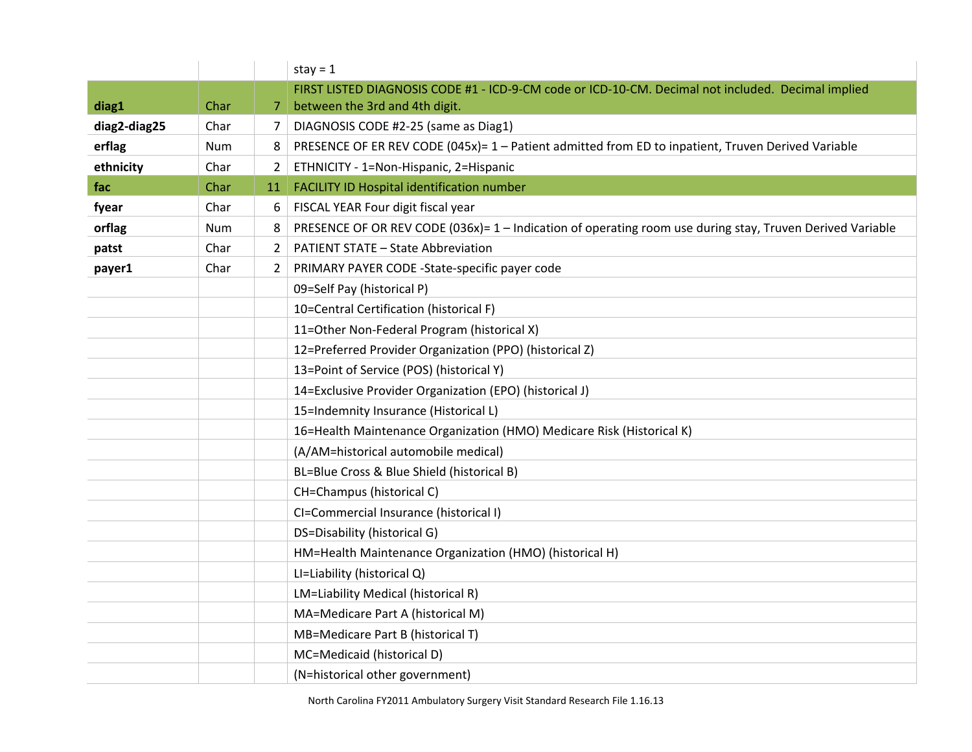|              |            |                | stay = $1$                                                                                                |
|--------------|------------|----------------|-----------------------------------------------------------------------------------------------------------|
|              |            |                | FIRST LISTED DIAGNOSIS CODE #1 - ICD-9-CM code or ICD-10-CM. Decimal not included. Decimal implied        |
| diag1        | Char       | 7              | between the 3rd and 4th digit.                                                                            |
| diag2-diag25 | Char       | 7              | DIAGNOSIS CODE #2-25 (same as Diag1)                                                                      |
| erflag       | <b>Num</b> | 8              | PRESENCE OF ER REV CODE (045x)= 1 - Patient admitted from ED to inpatient, Truven Derived Variable        |
| ethnicity    | Char       | $\mathbf{2}$   | ETHNICITY - 1=Non-Hispanic, 2=Hispanic                                                                    |
| fac          | Char       | 11             | FACILITY ID Hospital identification number                                                                |
| fyear        | Char       | 6              | FISCAL YEAR Four digit fiscal year                                                                        |
| orflag       | Num        | 8              | PRESENCE OF OR REV CODE (036x)= 1 - Indication of operating room use during stay, Truven Derived Variable |
| patst        | Char       | $\overline{2}$ | <b>PATIENT STATE - State Abbreviation</b>                                                                 |
| payer1       | Char       | $\mathbf{2}$   | PRIMARY PAYER CODE -State-specific payer code                                                             |
|              |            |                | 09=Self Pay (historical P)                                                                                |
|              |            |                | 10=Central Certification (historical F)                                                                   |
|              |            |                | 11=Other Non-Federal Program (historical X)                                                               |
|              |            |                | 12=Preferred Provider Organization (PPO) (historical Z)                                                   |
|              |            |                | 13=Point of Service (POS) (historical Y)                                                                  |
|              |            |                | 14=Exclusive Provider Organization (EPO) (historical J)                                                   |
|              |            |                | 15=Indemnity Insurance (Historical L)                                                                     |
|              |            |                | 16=Health Maintenance Organization (HMO) Medicare Risk (Historical K)                                     |
|              |            |                | (A/AM=historical automobile medical)                                                                      |
|              |            |                | BL=Blue Cross & Blue Shield (historical B)                                                                |
|              |            |                | CH=Champus (historical C)                                                                                 |
|              |            |                | CI=Commercial Insurance (historical I)                                                                    |
|              |            |                | DS=Disability (historical G)                                                                              |
|              |            |                | HM=Health Maintenance Organization (HMO) (historical H)                                                   |
|              |            |                | LI=Liability (historical Q)                                                                               |
|              |            |                | LM=Liability Medical (historical R)                                                                       |
|              |            |                | MA=Medicare Part A (historical M)                                                                         |
|              |            |                | MB=Medicare Part B (historical T)                                                                         |
|              |            |                | MC=Medicaid (historical D)                                                                                |
|              |            |                | (N=historical other government)                                                                           |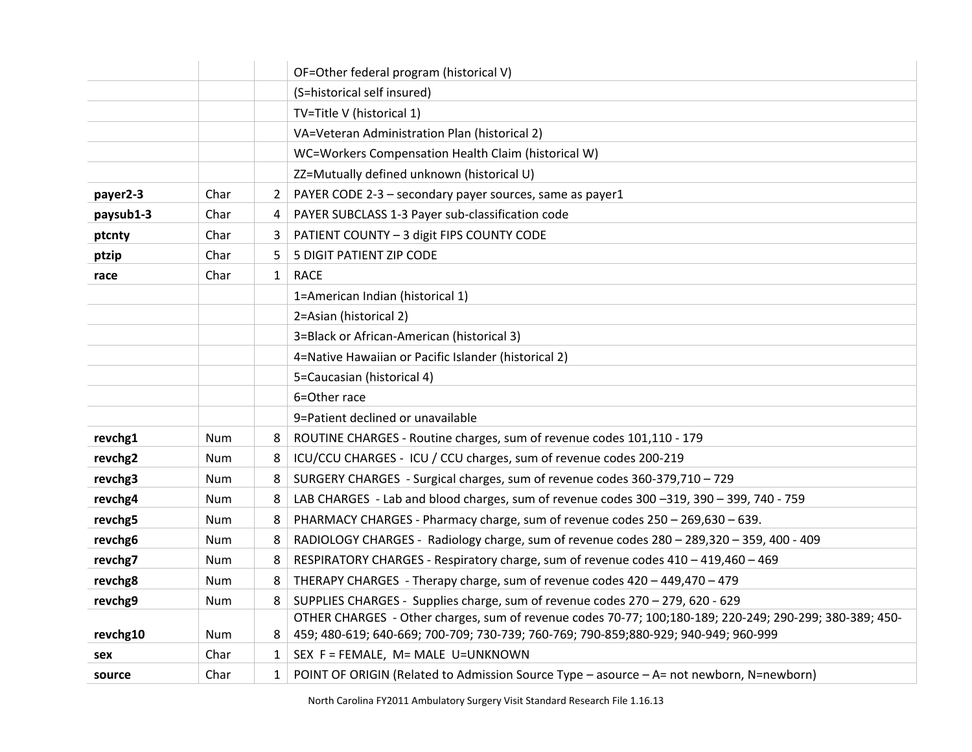|           |            |                | OF=Other federal program (historical V)                                                                 |
|-----------|------------|----------------|---------------------------------------------------------------------------------------------------------|
|           |            |                | (S=historical self insured)                                                                             |
|           |            |                | TV=Title V (historical 1)                                                                               |
|           |            |                | VA=Veteran Administration Plan (historical 2)                                                           |
|           |            |                | WC=Workers Compensation Health Claim (historical W)                                                     |
|           |            |                | ZZ=Mutually defined unknown (historical U)                                                              |
| payer2-3  | Char       | $\overline{2}$ | PAYER CODE 2-3 - secondary payer sources, same as payer1                                                |
| paysub1-3 | Char       | 4              | PAYER SUBCLASS 1-3 Payer sub-classification code                                                        |
| ptcnty    | Char       | 3              | PATIENT COUNTY - 3 digit FIPS COUNTY CODE                                                               |
| ptzip     | Char       | 5.             | 5 DIGIT PATIENT ZIP CODE                                                                                |
| race      | Char       | $\mathbf{1}$   | <b>RACE</b>                                                                                             |
|           |            |                | 1=American Indian (historical 1)                                                                        |
|           |            |                | 2=Asian (historical 2)                                                                                  |
|           |            |                | 3=Black or African-American (historical 3)                                                              |
|           |            |                | 4=Native Hawaiian or Pacific Islander (historical 2)                                                    |
|           |            |                | 5=Caucasian (historical 4)                                                                              |
|           |            |                | 6=Other race                                                                                            |
|           |            |                | 9=Patient declined or unavailable                                                                       |
| revchg1   | <b>Num</b> | 8              | ROUTINE CHARGES - Routine charges, sum of revenue codes 101,110 - 179                                   |
| revchg2   | Num        | 8              | ICU/CCU CHARGES - ICU / CCU charges, sum of revenue codes 200-219                                       |
| revchg3   | <b>Num</b> | 8              | SURGERY CHARGES - Surgical charges, sum of revenue codes 360-379,710 - 729                              |
| revchg4   | Num        | 8              | LAB CHARGES - Lab and blood charges, sum of revenue codes 300 -319, 390 - 399, 740 - 759                |
| revchg5   | Num        | 8              | PHARMACY CHARGES - Pharmacy charge, sum of revenue codes 250 - 269,630 - 639.                           |
| revchg6   | <b>Num</b> | 8              | RADIOLOGY CHARGES - Radiology charge, sum of revenue codes 280 - 289,320 - 359, 400 - 409               |
| revchg7   | <b>Num</b> | 8              | RESPIRATORY CHARGES - Respiratory charge, sum of revenue codes 410 - 419,460 - 469                      |
| revchg8   | Num        | 8              | THERAPY CHARGES - Therapy charge, sum of revenue codes 420 - 449,470 - 479                              |
| revchg9   | Num        | 8              | SUPPLIES CHARGES - Supplies charge, sum of revenue codes 270 - 279, 620 - 629                           |
|           |            |                | OTHER CHARGES - Other charges, sum of revenue codes 70-77; 100;180-189; 220-249; 290-299; 380-389; 450- |
| revchg10  | Num        | 8              | 459; 480-619; 640-669; 700-709; 730-739; 760-769; 790-859; 880-929; 940-949; 960-999                    |
| sex       | Char       | $\mathbf{1}$   | SEX F = FEMALE, M= MALE U=UNKNOWN                                                                       |
| source    | Char       | $\mathbf{1}$   | POINT OF ORIGIN (Related to Admission Source Type - asource - A= not newborn, N=newborn)                |

North Carolina FY2011 Ambulatory Surgery Visit Standard Research File 1.16.13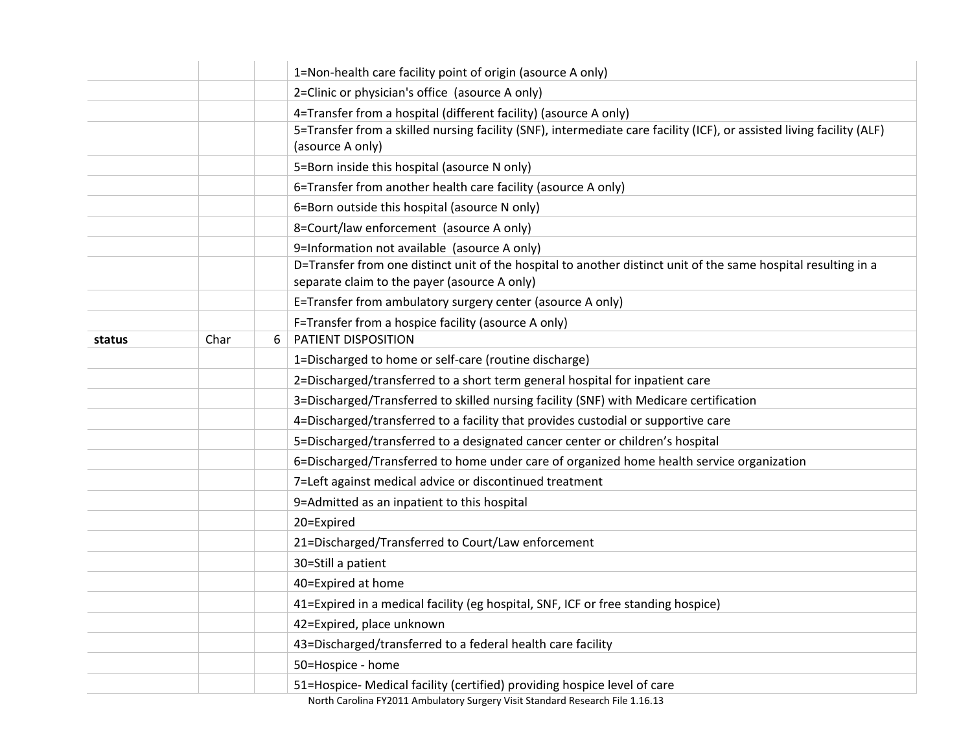|        |      |   | 1=Non-health care facility point of origin (asource A only)                                                                                                    |
|--------|------|---|----------------------------------------------------------------------------------------------------------------------------------------------------------------|
|        |      |   | 2=Clinic or physician's office (asource A only)                                                                                                                |
|        |      |   | 4=Transfer from a hospital (different facility) (asource A only)                                                                                               |
|        |      |   | 5=Transfer from a skilled nursing facility (SNF), intermediate care facility (ICF), or assisted living facility (ALF)<br>(asource A only)                      |
|        |      |   | 5=Born inside this hospital (asource N only)                                                                                                                   |
|        |      |   | 6=Transfer from another health care facility (asource A only)                                                                                                  |
|        |      |   | 6=Born outside this hospital (asource N only)                                                                                                                  |
|        |      |   | 8=Court/law enforcement (asource A only)                                                                                                                       |
|        |      |   | 9=Information not available (asource A only)                                                                                                                   |
|        |      |   | D=Transfer from one distinct unit of the hospital to another distinct unit of the same hospital resulting in a<br>separate claim to the payer (asource A only) |
|        |      |   | E=Transfer from ambulatory surgery center (asource A only)                                                                                                     |
|        |      |   | F=Transfer from a hospice facility (asource A only)                                                                                                            |
| status | Char | 6 | PATIENT DISPOSITION                                                                                                                                            |
|        |      |   | 1=Discharged to home or self-care (routine discharge)                                                                                                          |
|        |      |   | 2=Discharged/transferred to a short term general hospital for inpatient care                                                                                   |
|        |      |   | 3=Discharged/Transferred to skilled nursing facility (SNF) with Medicare certification                                                                         |
|        |      |   | 4=Discharged/transferred to a facility that provides custodial or supportive care                                                                              |
|        |      |   | 5=Discharged/transferred to a designated cancer center or children's hospital                                                                                  |
|        |      |   | 6=Discharged/Transferred to home under care of organized home health service organization                                                                      |
|        |      |   | 7=Left against medical advice or discontinued treatment                                                                                                        |
|        |      |   | 9=Admitted as an inpatient to this hospital                                                                                                                    |
|        |      |   | 20=Expired                                                                                                                                                     |
|        |      |   | 21=Discharged/Transferred to Court/Law enforcement                                                                                                             |
|        |      |   | 30=Still a patient                                                                                                                                             |
|        |      |   | 40=Expired at home                                                                                                                                             |
|        |      |   | 41=Expired in a medical facility (eg hospital, SNF, ICF or free standing hospice)                                                                              |
|        |      |   | 42=Expired, place unknown                                                                                                                                      |
|        |      |   | 43=Discharged/transferred to a federal health care facility                                                                                                    |
|        |      |   | 50=Hospice - home                                                                                                                                              |
|        |      |   | 51=Hospice- Medical facility (certified) providing hospice level of care                                                                                       |